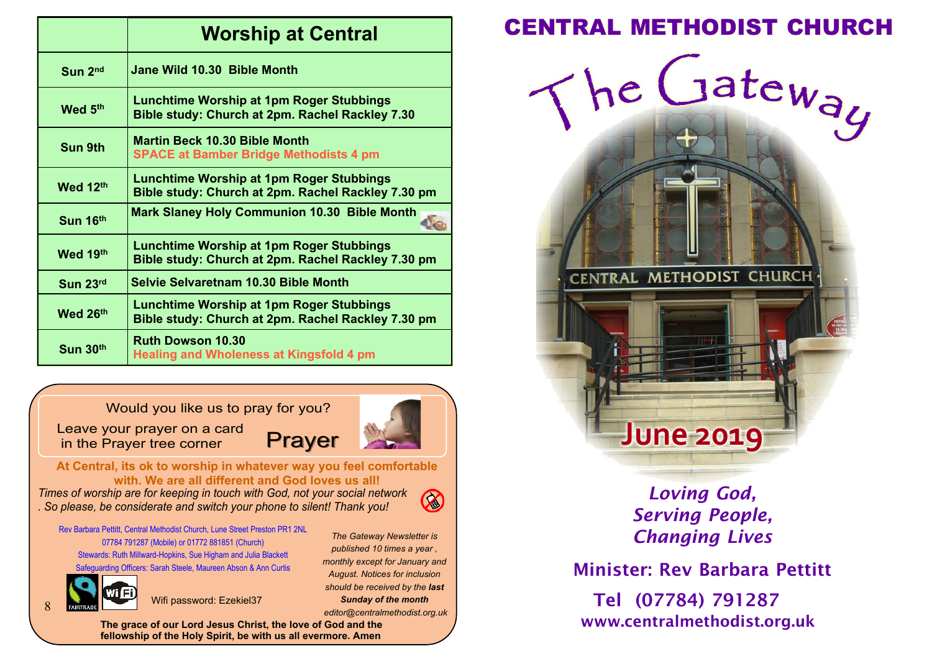|                         | <b>Worship at Central</b>                                                                             |  |  |  |  |
|-------------------------|-------------------------------------------------------------------------------------------------------|--|--|--|--|
| $S$ <sub>un</sub> $2nd$ | Jane Wild 10.30 Bible Month                                                                           |  |  |  |  |
| Wed 5th                 | <b>Lunchtime Worship at 1pm Roger Stubbings</b><br>Bible study: Church at 2pm. Rachel Rackley 7.30    |  |  |  |  |
| Sun 9th                 | <b>Martin Beck 10.30 Bible Month</b><br><b>SPACE at Bamber Bridge Methodists 4 pm</b>                 |  |  |  |  |
| Wed 12th                | Lunchtime Worship at 1pm Roger Stubbings<br>Bible study: Church at 2pm. Rachel Rackley 7.30 pm        |  |  |  |  |
| Sun 16th                | <b>Mark Slaney Holy Communion 10.30 Bible Month</b>                                                   |  |  |  |  |
| Wed 19th                | <b>Lunchtime Worship at 1pm Roger Stubbings</b><br>Bible study: Church at 2pm. Rachel Rackley 7.30 pm |  |  |  |  |
| Sun 23rd                | <b>Selvie Selvaretnam 10.30 Bible Month</b>                                                           |  |  |  |  |
| Wed 26th                | <b>Lunchtime Worship at 1pm Roger Stubbings</b><br>Bible study: Church at 2pm. Rachel Rackley 7.30 pm |  |  |  |  |
| Sum 30 <sup>th</sup>    | <b>Ruth Dowson 10.30</b><br><b>Healing and Wholeness at Kingsfold 4 pm</b>                            |  |  |  |  |

Would you like us to pray for you?

Leave your prayer on a card in the Prayer tree corner

Prayer

**At Central, its ok to worship in whatever way you feel comfortable with. We are all different and God loves us all!**

*Times of worship are for keeping in touch with God, not your social network . So please, be considerate and switch your phone to silent! Thank you!*

 $\oslash$ 

*The Gateway Newsletter is published 10 times a year , monthly except for January and August. Notices for inclusion should be received by the last Sunday of the month editor@centralmethodist.org.uk*

Rev Barbara Pettitt, Central Methodist Church, Lune Street Preston PR1 2NL 07784 791287 (Mobile) or 01772 881851 (Church) Stewards: Ruth Millward-Hopkins, Sue Higham and Julia Blackett Safeguarding Officers: Sarah Steele, Maureen Abson & Ann Curtis

8

Wifi password: Ezekiel37

**The grace of our Lord Jesus Christ, the love of God and the fellowship of the Holy Spirit, be with us all evermore. Amen**

# **Worship at Central CENTRAL METHODIST CHURCH**



# *Loving God, Serving People, Changing Lives*

Minister: Rev Barbara Pettitt

Tel (07784) 791287 www.centralmethodist.org.uk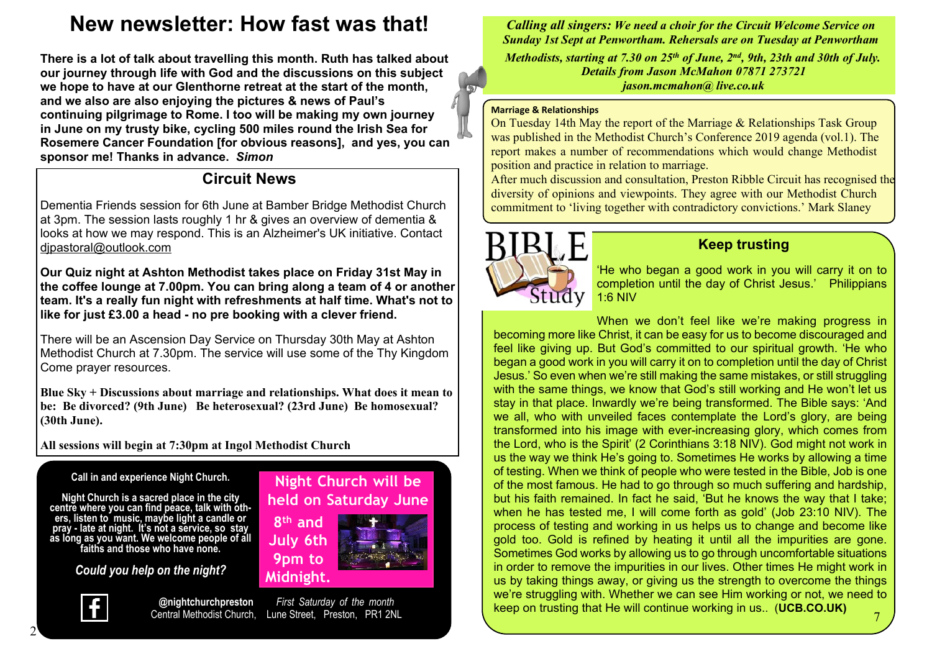# **New newsletter: How fast was that!**

**There is a lot of talk about travelling this month. Ruth has talked about our journey through life with God and the discussions on this subject we hope to have at our Glenthorne retreat at the start of the month, and we also are also enjoying the pictures & news of Paul's continuing pilgrimage to Rome. I too will be making my own journey in June on my trusty bike, cycling 500 miles round the Irish Sea for Rosemere Cancer Foundation [for obvious reasons], and yes, you can sponsor me! Thanks in advance.** *Simon*

## **Circuit News**

Dementia Friends session for 6th June at Bamber Bridge Methodist Church at 3pm. The session lasts roughly 1 hr & gives an overview of dementia & looks at how we may respond. This is an Alzheimer's UK initiative. Contact djpastoral@outlook.com

**Our Quiz night at Ashton Methodist takes place on Friday 31st May in the coffee lounge at 7.00pm. You can bring along a team of 4 or another team. It's a really fun night with refreshments at half time. What's not to like for just £3.00 a head - no pre booking with a clever friend.**

There will be an Ascension Day Service on Thursday 30th May at Ashton Methodist Church at 7.30pm. The service will use some of the Thy Kingdom Come prayer resources.

**Blue Sky + Discussions about marriage and relationships. What does it mean to be: Be divorced? (9th June) Be heterosexual? (23rd June) Be homosexual? (30th June).**

**All sessions will begin at 7:30pm at Ingol Methodist Church**

#### **Call in and experience Night Church.**

**Night Church is a sacred place in the city centre where you can find peace, talk with others, listen to music, maybe light a candle or pray - late at night. It's not a service, so stay as long as you want. We welcome people of all faiths and those who have none.**

*Could you help on the night?*



**@nightchurchpreston** *First Saturday of the month* Lune Street, Preston, PR1 2NL

**8 th and July 6th 9pm to Midnight.**

**Night Church will be held on Saturday June**

*Calling all singers: We need a choir for the Circuit Welcome Service on Sunday 1st Sept at Penwortham. Rehersals are on Tuesday at Penwortham Methodists, starting at 7.30 on 25th of June, 2nd, 9th, 23th and 30th of July. Details from Jason McMahon 07871 273721 jason.mcmahon@ live.co.uk*

#### **Marriage & Relationships**

On Tuesday 14th May the report of the Marriage & Relationships Task Group was published in the Methodist Church's Conference 2019 agenda (vol.1). The report makes a number of recommendations which would change Methodist position and practice in relation to marriage.

After much discussion and consultation, Preston Ribble Circuit has recognised the diversity of opinions and viewpoints. They agree with our Methodist Church commitment to 'living together with contradictory convictions.' Mark Slaney



### **Keep trusting**

'He who began a good work in you will carry it on to completion until the day of Christ Jesus.' Philippians 1:6 NIV

When we don't feel like we're making progress in becoming more like Christ, it can be easy for us to become discouraged and feel like giving up. But God's committed to our spiritual growth. 'He who began a good work in you will carry it on to completion until the day of Christ Jesus.' So even when we're still making the same mistakes, or still struggling with the same things, we know that God's still working and He won't let us stay in that place. Inwardly we're being transformed. The Bible says: 'And we all, who with unveiled faces contemplate the Lord's glory, are being transformed into his image with ever-increasing glory, which comes from the Lord, who is the Spirit' (2 Corinthians 3:18 NIV). God might not work in us the way we think He's going to. Sometimes He works by allowing a time of testing. When we think of people who were tested in the Bible, Job is one of the most famous. He had to go through so much suffering and hardship, but his faith remained. In fact he said, 'But he knows the way that I take; when he has tested me, I will come forth as gold' (Job 23:10 NIV). The process of testing and working in us helps us to change and become like gold too. Gold is refined by heating it until all the impurities are gone. Sometimes God works by allowing us to go through uncomfortable situations in order to remove the impurities in our lives. Other times He might work in us by taking things away, or giving us the strength to overcome the things we're struggling with. Whether we can see Him working or not, we need to keep on trusting that He will continue working in us.. (**UCB.CO.UK)**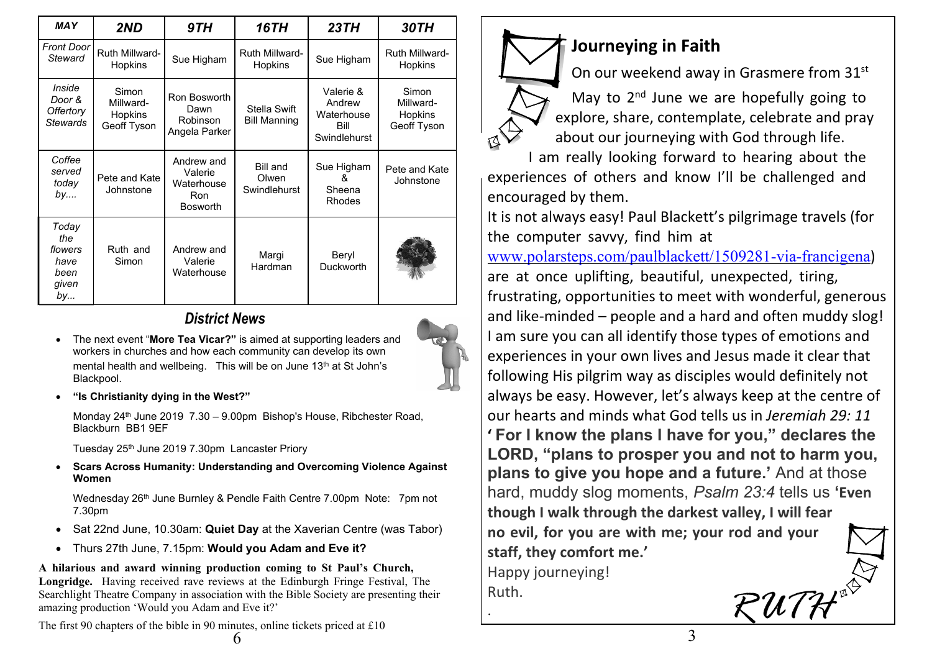| <b>MAY</b>                                             | 2ND                                          | 9TH                                                           | <b>16TH</b>                              | 23TH                                                      | 30TH                                         |
|--------------------------------------------------------|----------------------------------------------|---------------------------------------------------------------|------------------------------------------|-----------------------------------------------------------|----------------------------------------------|
| <b>Front Door</b><br>Steward                           | Ruth Millward-<br>Hopkins                    | Sue Higham                                                    | Ruth Millward-<br>Hopkins                | Sue Higham                                                | Ruth Millward-<br>Hopkins                    |
| Inside<br>Door &<br>Offertory<br><b>Stewards</b>       | Simon<br>Millward-<br>Hopkins<br>Geoff Tyson | Ron Bosworth<br>Dawn<br>Robinson<br>Angela Parker             | Stella Swift<br><b>Bill Manning</b>      | Valerie &<br>Andrew<br>Waterhouse<br>Bill<br>Swindlehurst | Simon<br>Millward-<br>Hopkins<br>Geoff Tyson |
| Coffee<br>served<br>today<br>by                        | Pete and Kate<br>Johnstone                   | Andrew and<br>Valerie<br>Waterhouse<br>Ron<br><b>Bosworth</b> | <b>Bill and</b><br>Olwen<br>Swindlehurst | Sue Higham<br>&<br>Sheena<br>Rhodes                       | Pete and Kate<br>Johnstone                   |
| Today<br>the<br>flowers<br>have<br>been<br>given<br>by | Ruth and<br>Simon                            | Andrew and<br>Valerie<br>Waterhouse                           | Margi<br>Hardman                         | Beryl<br>Duckworth                                        |                                              |

## *District News*

- �� The next event "**More Tea Vicar?"** is aimed at supporting leaders and workers in churches and how each community can develop its own mental health and wellbeing. This will be on June 13<sup>th</sup> at St John's Blackpool.
- �� **"Is Christianity dying in the West?"**

Monday 24<sup>th</sup> June 2019 7.30 – 9.00pm Bishop's House, Ribchester Road, Blackburn BB1 9EF

Tuesday 25th June 2019 7.30pm Lancaster Priory

�� **Scars Across Humanity: Understanding and Overcoming Violence Against Women**

Wednesday 26<sup>th</sup> June Burnley & Pendle Faith Centre 7.00pm Note: 7pm not 7.30pm

- �� Sat 22nd June, 10.30am: **Quiet Day** at the Xaverian Centre (was Tabor)
- �� Thurs 27th June, 7.15pm: **Would you Adam and Eve it?**

**A hilarious and award winning production coming to St Paul's Church, Longridge.** Having received rave reviews at the Edinburgh Fringe Festival, The Searchlight Theatre Company in association with the Bible Society are presenting their amazing production 'Would you Adam and Eve it?'

The first 90 chapters of the bible in 90 minutes, online tickets priced at £10

**Journeying in Faith**

On our weekend away in Grasmere from 31st

May to 2<sup>nd</sup> June we are hopefully going to explore, share, contemplate, celebrate and pray about our journeying with God through life.

I am really looking forward to hearing about the experiences of others and know I'll be challenged and encouraged by them.

It is not always easy! Paul Blackett's pilgrimage travels (for the computer savvy, find him at

www.polarsteps.com/paulblackett/1509281-via-francigena) are at once uplifting, beautiful, unexpected, tiring, frustrating, opportunities to meet with wonderful, generous and like-minded – people and a hard and often muddy slog! I am sure you can all identify those types of emotions and experiences in your own lives and Jesus made it clear that following His pilgrim way as disciples would definitely not always be easy. However, let's always keep at the centre of our hearts and minds what God tells us in *Jeremiah 29: 11* **' For I know the plans I have for you," declares the LORD, "plans to prosper you and not to harm you, plans to give you hope and a future.'** And at those hard, muddy slog moments, *Psalm 23:4* tells us **'Even though I walk through the darkest valley, I will fear no evil, for you are with me; your rod and your staff, they comfort me.'** Happy journeying! Ruth. *RUTH*

.